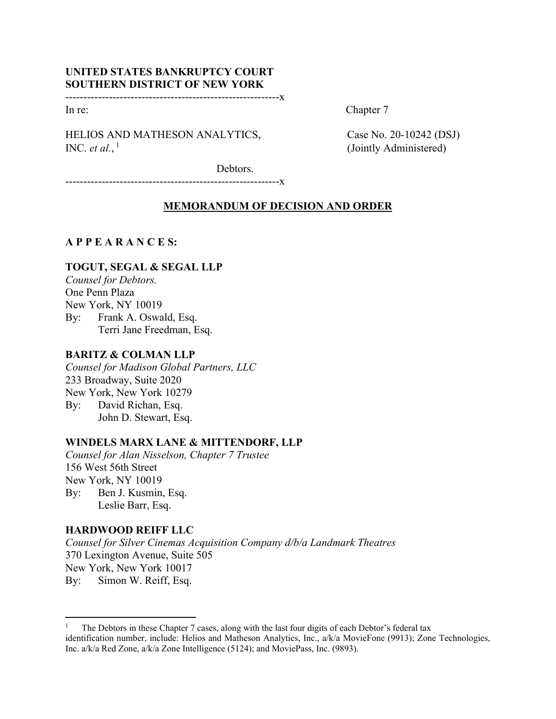# **UNITED STATES BANKRUPTCY COURT SOUTHERN DISTRICT OF NEW YORK**

-----------------------------------------------------------x

HELIOS AND MATHESON ANALYTICS, Case No. 20-10242 (DSJ) INC. *et al.*,  $\frac{1}{1}$ 

In re: Chapter 7

(Jointly Administered)

Debtors.

-----------------------------------------------------------x

## **MEMORANDUM OF DECISION AND ORDER**

# **A P P E A R A N C E S:**

# **TOGUT, SEGAL & SEGAL LLP**

*Counsel for Debtors.*  One Penn Plaza New York, NY 10019 By: Frank A. Oswald, Esq. Terri Jane Freedman, Esq.

## **BARITZ & COLMAN LLP**

*Counsel for Madison Global Partners, LLC* 233 Broadway, Suite 2020 New York, New York 10279 By: David Richan, Esq. John D. Stewart, Esq.

## **WINDELS MARX LANE & MITTENDORF, LLP**

*Counsel for Alan Nisselson, Chapter 7 Trustee* 156 West 56th Street New York, NY 10019 By: Ben J. Kusmin, Esq. Leslie Barr, Esq.

## **HARDWOOD REIFF LLC**

*Counsel for Silver Cinemas Acquisition Company d/b/a Landmark Theatres*  370 Lexington Avenue, Suite 505 New York, New York 10017 By: Simon W. Reiff, Esq.

<sup>1</sup> The Debtors in these Chapter 7 cases, along with the last four digits of each Debtor's federal tax identification number, include: Helios and Matheson Analytics, Inc., a/k/a MovieFone (9913); Zone Technologies, Inc. a/k/a Red Zone, a/k/a Zone Intelligence (5124); and MoviePass, Inc. (9893).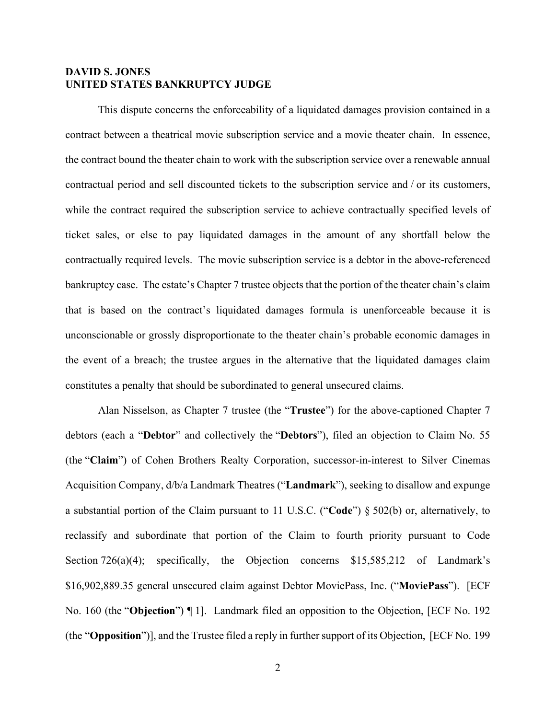### **DAVID S. JONES UNITED STATES BANKRUPTCY JUDGE**

 This dispute concerns the enforceability of a liquidated damages provision contained in a contract between a theatrical movie subscription service and a movie theater chain. In essence, the contract bound the theater chain to work with the subscription service over a renewable annual contractual period and sell discounted tickets to the subscription service and / or its customers, while the contract required the subscription service to achieve contractually specified levels of ticket sales, or else to pay liquidated damages in the amount of any shortfall below the contractually required levels. The movie subscription service is a debtor in the above-referenced bankruptcy case. The estate's Chapter 7 trustee objects that the portion of the theater chain's claim that is based on the contract's liquidated damages formula is unenforceable because it is unconscionable or grossly disproportionate to the theater chain's probable economic damages in the event of a breach; the trustee argues in the alternative that the liquidated damages claim constitutes a penalty that should be subordinated to general unsecured claims.

Alan Nisselson, as Chapter 7 trustee (the "**Trustee**") for the above-captioned Chapter 7 debtors (each a "**Debtor**" and collectively the "**Debtors**"), filed an objection to Claim No. 55 (the "**Claim**") of Cohen Brothers Realty Corporation, successor-in-interest to Silver Cinemas Acquisition Company, d/b/a Landmark Theatres ("**Landmark**"), seeking to disallow and expunge a substantial portion of the Claim pursuant to 11 U.S.C. ("**Code**") § 502(b) or, alternatively, to reclassify and subordinate that portion of the Claim to fourth priority pursuant to Code Section 726(a)(4); specifically, the Objection concerns \$15,585,212 of Landmark's \$16,902,889.35 general unsecured claim against Debtor MoviePass, Inc. ("**MoviePass**"). [ECF No. 160 (the "**Objection**") ¶ 1]. Landmark filed an opposition to the Objection, [ECF No. 192 (the "**Opposition**")], and the Trustee filed a reply in further support of its Objection, [ECF No. 199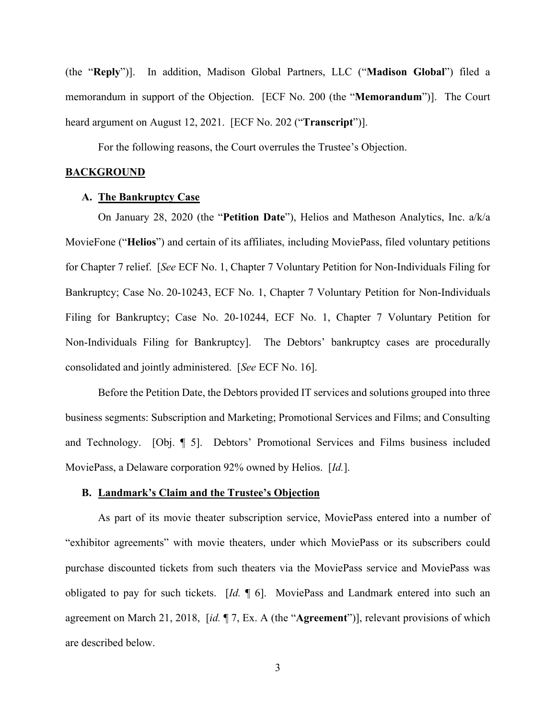(the "**Reply**")]. In addition, Madison Global Partners, LLC ("**Madison Global**") filed a memorandum in support of the Objection. [ECF No. 200 (the "**Memorandum**")]. The Court heard argument on August 12, 2021. [ECF No. 202 ("**Transcript**")].

For the following reasons, the Court overrules the Trustee's Objection.

### **BACKGROUND**

## **A. The Bankruptcy Case**

On January 28, 2020 (the "**Petition Date**"), Helios and Matheson Analytics, Inc. a/k/a MovieFone ("**Helios**") and certain of its affiliates, including MoviePass, filed voluntary petitions for Chapter 7 relief. [*See* ECF No. 1, Chapter 7 Voluntary Petition for Non-Individuals Filing for Bankruptcy; Case No. 20-10243, ECF No. 1, Chapter 7 Voluntary Petition for Non-Individuals Filing for Bankruptcy; Case No. 20-10244, ECF No. 1, Chapter 7 Voluntary Petition for Non-Individuals Filing for Bankruptcy]. The Debtors' bankruptcy cases are procedurally consolidated and jointly administered. [*See* ECF No. 16].

Before the Petition Date, the Debtors provided IT services and solutions grouped into three business segments: Subscription and Marketing; Promotional Services and Films; and Consulting and Technology. [Obj. ¶ 5]. Debtors' Promotional Services and Films business included MoviePass, a Delaware corporation 92% owned by Helios. [*Id.*].

#### **B. Landmark's Claim and the Trustee's Objection**

As part of its movie theater subscription service, MoviePass entered into a number of "exhibitor agreements" with movie theaters, under which MoviePass or its subscribers could purchase discounted tickets from such theaters via the MoviePass service and MoviePass was obligated to pay for such tickets. [*Id.* ¶ 6]. MoviePass and Landmark entered into such an agreement on March 21, 2018, [*id.* ¶ 7, Ex. A (the "**Agreement**")], relevant provisions of which are described below.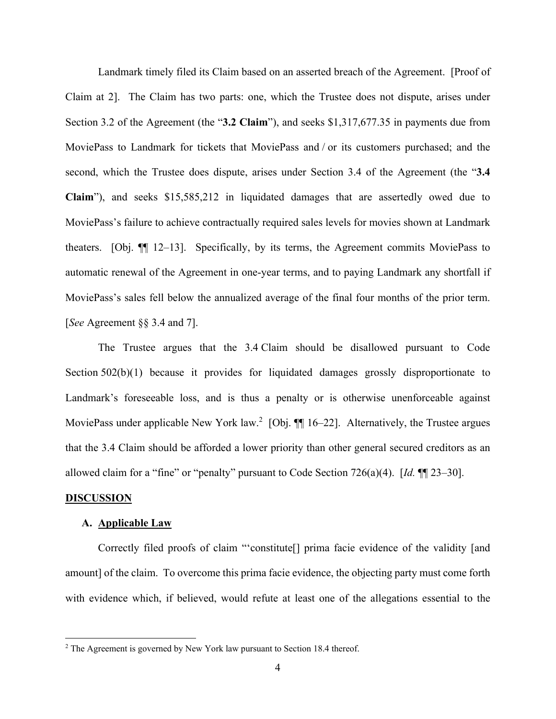Landmark timely filed its Claim based on an asserted breach of the Agreement. [Proof of Claim at 2]. The Claim has two parts: one, which the Trustee does not dispute, arises under Section 3.2 of the Agreement (the "**3.2 Claim**"), and seeks \$1,317,677.35 in payments due from MoviePass to Landmark for tickets that MoviePass and / or its customers purchased; and the second, which the Trustee does dispute, arises under Section 3.4 of the Agreement (the "**3.4 Claim**"), and seeks \$15,585,212 in liquidated damages that are assertedly owed due to MoviePass's failure to achieve contractually required sales levels for movies shown at Landmark theaters. [Obj. ¶¶ 12–13]. Specifically, by its terms, the Agreement commits MoviePass to automatic renewal of the Agreement in one-year terms, and to paying Landmark any shortfall if MoviePass's sales fell below the annualized average of the final four months of the prior term. [*See* Agreement §§ 3.4 and 7].

The Trustee argues that the 3.4 Claim should be disallowed pursuant to Code Section 502(b)(1) because it provides for liquidated damages grossly disproportionate to Landmark's foreseeable loss, and is thus a penalty or is otherwise unenforceable against MoviePass under applicable New York law.<sup>2</sup> [Obj. ¶ 16–22]. Alternatively, the Trustee argues that the 3.4 Claim should be afforded a lower priority than other general secured creditors as an allowed claim for a "fine" or "penalty" pursuant to Code Section 726(a)(4). [*Id.* ¶¶ 23–30].

#### **DISCUSSION**

#### **A. Applicable Law**

Correctly filed proofs of claim "'constitute[] prima facie evidence of the validity [and amount] of the claim. To overcome this prima facie evidence, the objecting party must come forth with evidence which, if believed, would refute at least one of the allegations essential to the

<sup>&</sup>lt;sup>2</sup> The Agreement is governed by New York law pursuant to Section 18.4 thereof.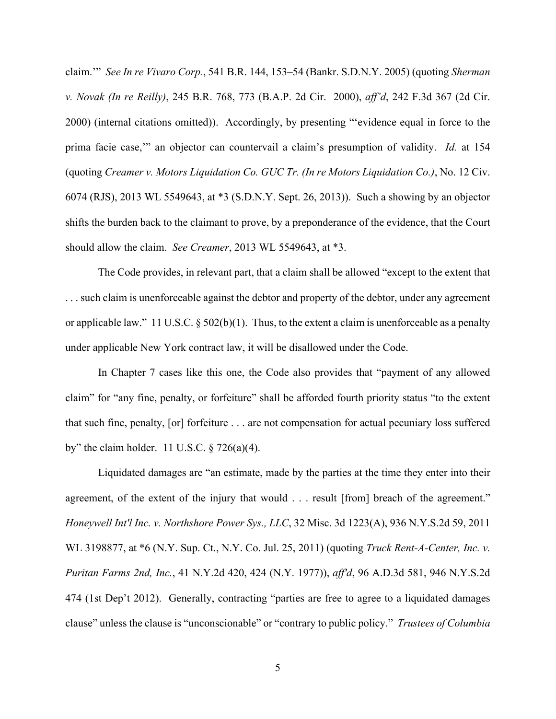claim.'" *See In re Vivaro Corp.*, 541 B.R. 144, 153–54 (Bankr. S.D.N.Y. 2005) (quoting *Sherman v. Novak (In re Reilly)*, 245 B.R. 768, 773 (B.A.P. 2d Cir. 2000), *aff'd*, 242 F.3d 367 (2d Cir. 2000) (internal citations omitted)). Accordingly, by presenting "'evidence equal in force to the prima facie case,'" an objector can countervail a claim's presumption of validity. *Id.* at 154 (quoting *Creamer v. Motors Liquidation Co. GUC Tr. (In re Motors Liquidation Co.)*, No. 12 Civ. 6074 (RJS), 2013 WL 5549643, at \*3 (S.D.N.Y. Sept. 26, 2013)). Such a showing by an objector shifts the burden back to the claimant to prove, by a preponderance of the evidence, that the Court should allow the claim. *See Creamer*, 2013 WL 5549643, at \*3.

The Code provides, in relevant part, that a claim shall be allowed "except to the extent that . . . such claim is unenforceable against the debtor and property of the debtor, under any agreement or applicable law." 11 U.S.C.  $\S 502(b)(1)$ . Thus, to the extent a claim is unenforceable as a penalty under applicable New York contract law, it will be disallowed under the Code.

In Chapter 7 cases like this one, the Code also provides that "payment of any allowed claim" for "any fine, penalty, or forfeiture" shall be afforded fourth priority status "to the extent that such fine, penalty, [or] forfeiture . . . are not compensation for actual pecuniary loss suffered by" the claim holder. 11 U.S.C.  $\S$  726(a)(4).

Liquidated damages are "an estimate, made by the parties at the time they enter into their agreement, of the extent of the injury that would . . . result [from] breach of the agreement." *Honeywell Int'l Inc. v. Northshore Power Sys., LLC*, 32 Misc. 3d 1223(A), 936 N.Y.S.2d 59, 2011 WL 3198877, at \*6 (N.Y. Sup. Ct., N.Y. Co. Jul. 25, 2011) (quoting *Truck Rent-A-Center, Inc. v. Puritan Farms 2nd, Inc.*, 41 N.Y.2d 420, 424 (N.Y. 1977)), *aff'd*, 96 A.D.3d 581, 946 N.Y.S.2d 474 (1st Dep't 2012). Generally, contracting "parties are free to agree to a liquidated damages clause" unless the clause is "unconscionable" or "contrary to public policy." *Trustees of Columbia*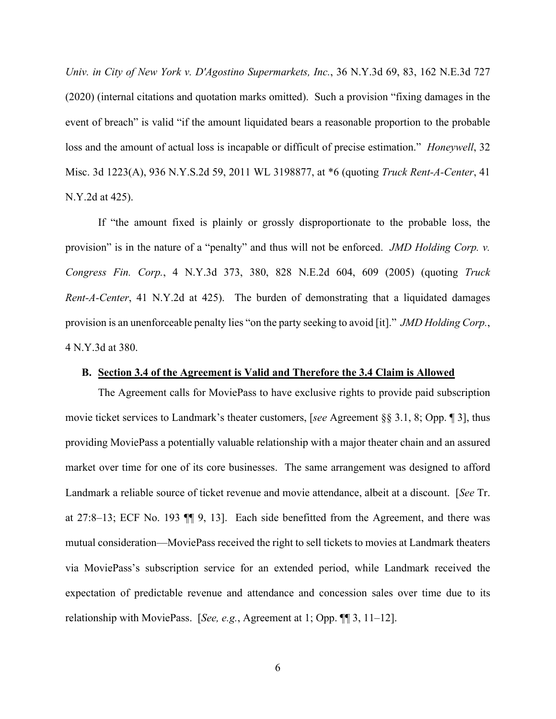*Univ. in City of New York v. D'Agostino Supermarkets, Inc.*, 36 N.Y.3d 69, 83, 162 N.E.3d 727 (2020) (internal citations and quotation marks omitted). Such a provision "fixing damages in the event of breach" is valid "if the amount liquidated bears a reasonable proportion to the probable loss and the amount of actual loss is incapable or difficult of precise estimation." *Honeywell*, 32 Misc. 3d 1223(A), 936 N.Y.S.2d 59, 2011 WL 3198877, at \*6 (quoting *Truck Rent-A-Center*, 41 N.Y.2d at 425).

If "the amount fixed is plainly or grossly disproportionate to the probable loss, the provision" is in the nature of a "penalty" and thus will not be enforced. *JMD Holding Corp. v. Congress Fin. Corp.*, 4 N.Y.3d 373, 380, 828 N.E.2d 604, 609 (2005) (quoting *Truck Rent-A-Center*, 41 N.Y.2d at 425). The burden of demonstrating that a liquidated damages provision is an unenforceable penalty lies "on the party seeking to avoid [it]." *JMD Holding Corp.*, 4 N.Y.3d at 380.

### **B. Section 3.4 of the Agreement is Valid and Therefore the 3.4 Claim is Allowed**

The Agreement calls for MoviePass to have exclusive rights to provide paid subscription movie ticket services to Landmark's theater customers, [*see* Agreement §§ 3.1, 8; Opp. ¶ 3], thus providing MoviePass a potentially valuable relationship with a major theater chain and an assured market over time for one of its core businesses. The same arrangement was designed to afford Landmark a reliable source of ticket revenue and movie attendance, albeit at a discount. [*See* Tr. at 27:8–13; ECF No. 193 ¶¶ 9, 13]. Each side benefitted from the Agreement, and there was mutual consideration—MoviePass received the right to sell tickets to movies at Landmark theaters via MoviePass's subscription service for an extended period, while Landmark received the expectation of predictable revenue and attendance and concession sales over time due to its relationship with MoviePass. [*See, e.g.*, Agreement at 1; Opp. ¶¶ 3, 11–12].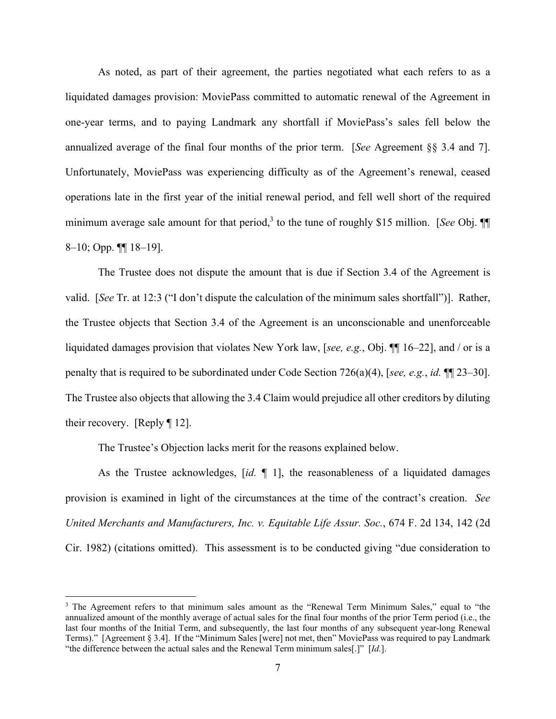As noted, as part of their agreement, the parties negotiated what each refers to as a liquidated damages provision: MoviePass committed to automatic renewal of the Agreement in one-year terms, and to paying Landmark any shortfall if MoviePass's sales fell below the annualized average of the final four months of the prior term. [*See* Agreement §§ 3.4 and 7]. Unfortunately, MoviePass was experiencing difficulty as of the Agreement's renewal, ceased operations late in the first year of the initial renewal period, and fell well short of the required minimum average sale amount for that period,<sup>3</sup> to the tune of roughly \$15 million. [*See* Obj. ¶ 8–10; Opp. ¶¶ 18–19].

The Trustee does not dispute the amount that is due if Section 3.4 of the Agreement is valid. [*See* Tr. at 12:3 ("I don't dispute the calculation of the minimum sales shortfall")]. Rather, the Trustee objects that Section 3.4 of the Agreement is an unconscionable and unenforceable liquidated damages provision that violates New York law, [*see, e.g.*, Obj. ¶¶ 16–22], and / or is a penalty that is required to be subordinated under Code Section 726(a)(4), [*see, e.g.*, *id.* ¶¶ 23–30]. The Trustee also objects that allowing the 3.4 Claim would prejudice all other creditors by diluting their recovery. [Reply ¶ 12].

The Trustee's Objection lacks merit for the reasons explained below.

As the Trustee acknowledges, [*id.* ¶ 1], the reasonableness of a liquidated damages provision is examined in light of the circumstances at the time of the contract's creation. *See United Merchants and Manufacturers, Inc. v. Equitable Life Assur. Soc.*, 674 F. 2d 134, 142 (2d Cir. 1982) (citations omitted). This assessment is to be conducted giving "due consideration to

<sup>&</sup>lt;sup>3</sup> The Agreement refers to that minimum sales amount as the "Renewal Term Minimum Sales," equal to "the annualized amount of the monthly average of actual sales for the final four months of the prior Term period (i.e., the last four months of the Initial Term, and subsequently, the last four months of any subsequent year-long Renewal Terms)." [Agreement § 3.4]. If the "Minimum Sales [were] not met, then" MoviePass was required to pay Landmark "the difference between the actual sales and the Renewal Term minimum sales[.]" [*Id.*].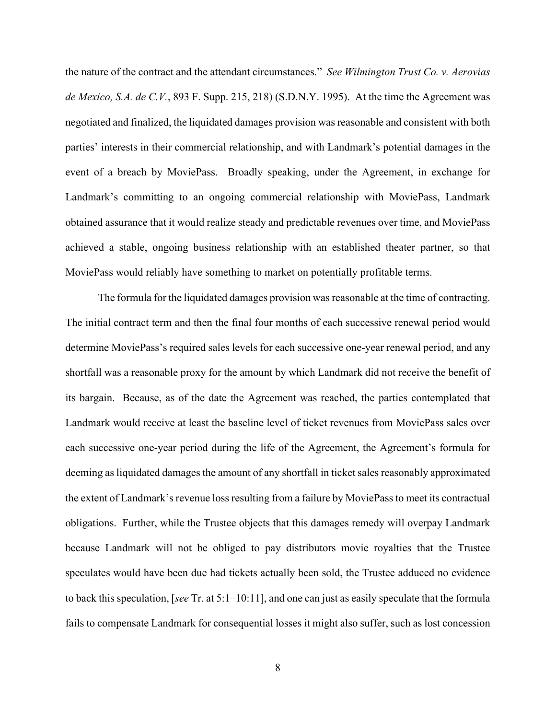the nature of the contract and the attendant circumstances." *See Wilmington Trust Co. v. Aerovias de Mexico, S.A. de C.V.*, 893 F. Supp. 215, 218) (S.D.N.Y. 1995). At the time the Agreement was negotiated and finalized, the liquidated damages provision was reasonable and consistent with both parties' interests in their commercial relationship, and with Landmark's potential damages in the event of a breach by MoviePass. Broadly speaking, under the Agreement, in exchange for Landmark's committing to an ongoing commercial relationship with MoviePass, Landmark obtained assurance that it would realize steady and predictable revenues over time, and MoviePass achieved a stable, ongoing business relationship with an established theater partner, so that MoviePass would reliably have something to market on potentially profitable terms.

The formula for the liquidated damages provision was reasonable at the time of contracting. The initial contract term and then the final four months of each successive renewal period would determine MoviePass's required sales levels for each successive one-year renewal period, and any shortfall was a reasonable proxy for the amount by which Landmark did not receive the benefit of its bargain. Because, as of the date the Agreement was reached, the parties contemplated that Landmark would receive at least the baseline level of ticket revenues from MoviePass sales over each successive one-year period during the life of the Agreement, the Agreement's formula for deeming as liquidated damages the amount of any shortfall in ticket sales reasonably approximated the extent of Landmark's revenue loss resulting from a failure by MoviePass to meet its contractual obligations. Further, while the Trustee objects that this damages remedy will overpay Landmark because Landmark will not be obliged to pay distributors movie royalties that the Trustee speculates would have been due had tickets actually been sold, the Trustee adduced no evidence to back this speculation, [*see* Tr. at 5:1–10:11], and one can just as easily speculate that the formula fails to compensate Landmark for consequential losses it might also suffer, such as lost concession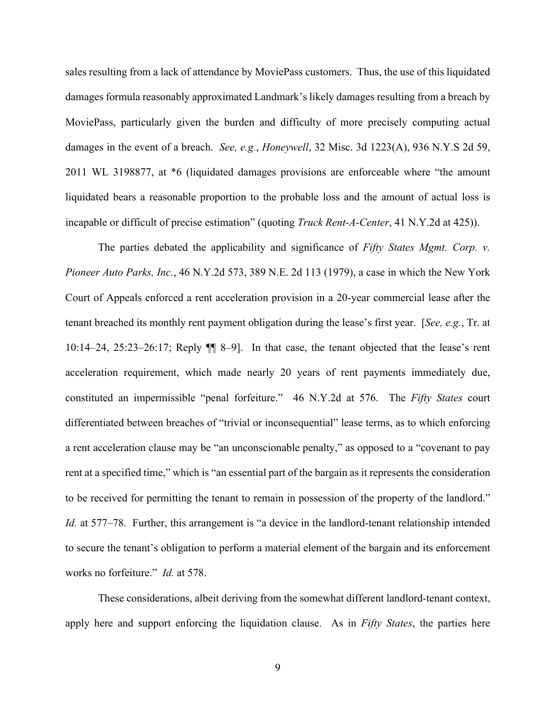sales resulting from a lack of attendance by MoviePass customers. Thus, the use of this liquidated damages formula reasonably approximated Landmark's likely damages resulting from a breach by MoviePass, particularly given the burden and difficulty of more precisely computing actual damages in the event of a breach. *See, e.g.*, *Honeywell*, 32 Misc. 3d 1223(A), 936 N.Y.S 2d 59, 2011 WL 3198877, at \*6 (liquidated damages provisions are enforceable where "the amount liquidated bears a reasonable proportion to the probable loss and the amount of actual loss is incapable or difficult of precise estimation" (quoting *Truck Rent-A-Center*, 41 N.Y.2d at 425)).

The parties debated the applicability and significance of *Fifty States Mgmt. Corp. v. Pioneer Auto Parks, Inc.*, 46 N.Y.2d 573, 389 N.E. 2d 113 (1979), a case in which the New York Court of Appeals enforced a rent acceleration provision in a 20-year commercial lease after the tenant breached its monthly rent payment obligation during the lease's first year. [*See, e.g.*, Tr. at 10:14–24, 25:23–26:17; Reply ¶¶ 8–9]. In that case, the tenant objected that the lease's rent acceleration requirement, which made nearly 20 years of rent payments immediately due, constituted an impermissible "penal forfeiture." 46 N.Y.2d at 576. The *Fifty States* court differentiated between breaches of "trivial or inconsequential" lease terms, as to which enforcing a rent acceleration clause may be "an unconscionable penalty," as opposed to a "covenant to pay rent at a specified time," which is "an essential part of the bargain as it represents the consideration to be received for permitting the tenant to remain in possession of the property of the landlord." *Id.* at 577–78. Further, this arrangement is "a device in the landlord-tenant relationship intended to secure the tenant's obligation to perform a material element of the bargain and its enforcement works no forfeiture." *Id.* at 578.

These considerations, albeit deriving from the somewhat different landlord-tenant context, apply here and support enforcing the liquidation clause. As in *Fifty States*, the parties here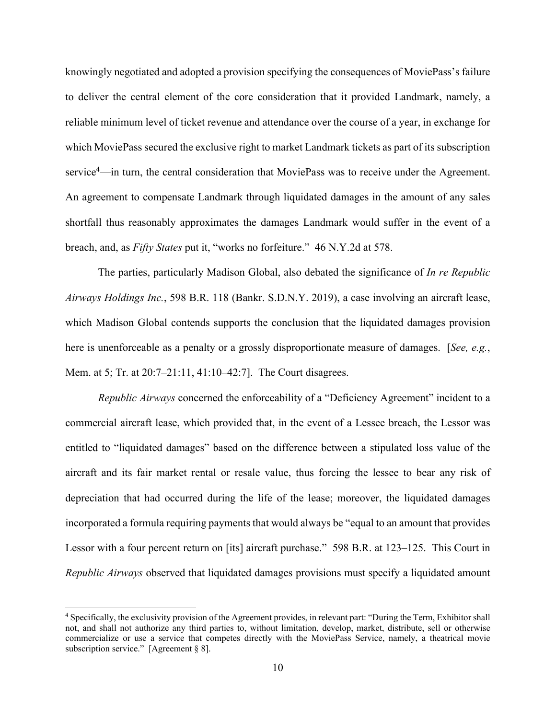knowingly negotiated and adopted a provision specifying the consequences of MoviePass's failure to deliver the central element of the core consideration that it provided Landmark, namely, a reliable minimum level of ticket revenue and attendance over the course of a year, in exchange for which MoviePass secured the exclusive right to market Landmark tickets as part of its subscription service<sup>4</sup>—in turn, the central consideration that MoviePass was to receive under the Agreement. An agreement to compensate Landmark through liquidated damages in the amount of any sales shortfall thus reasonably approximates the damages Landmark would suffer in the event of a breach, and, as *Fifty States* put it, "works no forfeiture." 46 N.Y.2d at 578.

The parties, particularly Madison Global, also debated the significance of *In re Republic Airways Holdings Inc.*, 598 B.R. 118 (Bankr. S.D.N.Y. 2019), a case involving an aircraft lease, which Madison Global contends supports the conclusion that the liquidated damages provision here is unenforceable as a penalty or a grossly disproportionate measure of damages. [*See, e.g.*, Mem. at 5; Tr. at 20:7–21:11, 41:10–42:7]. The Court disagrees.

*Republic Airways* concerned the enforceability of a "Deficiency Agreement" incident to a commercial aircraft lease, which provided that, in the event of a Lessee breach, the Lessor was entitled to "liquidated damages" based on the difference between a stipulated loss value of the aircraft and its fair market rental or resale value, thus forcing the lessee to bear any risk of depreciation that had occurred during the life of the lease; moreover, the liquidated damages incorporated a formula requiring payments that would always be "equal to an amount that provides Lessor with a four percent return on [its] aircraft purchase." 598 B.R. at 123–125. This Court in *Republic Airways* observed that liquidated damages provisions must specify a liquidated amount

<sup>4</sup> Specifically, the exclusivity provision of the Agreement provides, in relevant part: "During the Term, Exhibitor shall not, and shall not authorize any third parties to, without limitation, develop, market, distribute, sell or otherwise commercialize or use a service that competes directly with the MoviePass Service, namely, a theatrical movie subscription service." [Agreement § 8].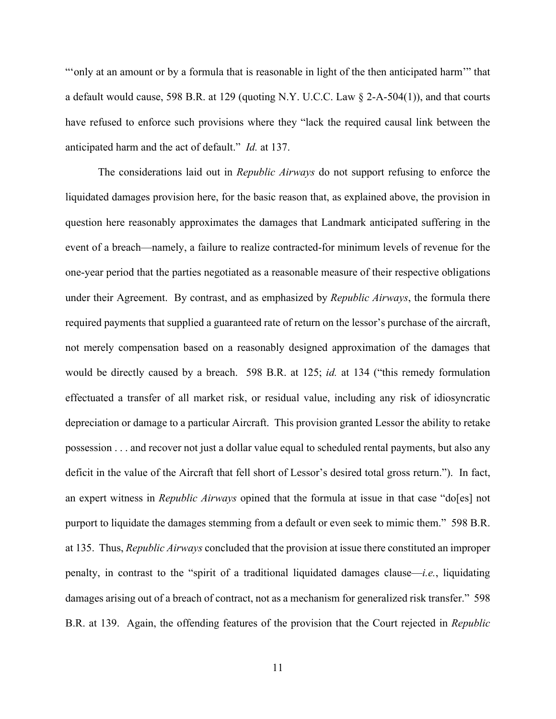"only at an amount or by a formula that is reasonable in light of the then anticipated harm" that a default would cause, 598 B.R. at 129 (quoting N.Y. U.C.C. Law § 2-A-504(1)), and that courts have refused to enforce such provisions where they "lack the required causal link between the anticipated harm and the act of default." *Id.* at 137.

The considerations laid out in *Republic Airways* do not support refusing to enforce the liquidated damages provision here, for the basic reason that, as explained above, the provision in question here reasonably approximates the damages that Landmark anticipated suffering in the event of a breach—namely, a failure to realize contracted-for minimum levels of revenue for the one-year period that the parties negotiated as a reasonable measure of their respective obligations under their Agreement. By contrast, and as emphasized by *Republic Airways*, the formula there required payments that supplied a guaranteed rate of return on the lessor's purchase of the aircraft, not merely compensation based on a reasonably designed approximation of the damages that would be directly caused by a breach. 598 B.R. at 125; *id.* at 134 ("this remedy formulation effectuated a transfer of all market risk, or residual value, including any risk of idiosyncratic depreciation or damage to a particular Aircraft. This provision granted Lessor the ability to retake possession . . . and recover not just a dollar value equal to scheduled rental payments, but also any deficit in the value of the Aircraft that fell short of Lessor's desired total gross return."). In fact, an expert witness in *Republic Airways* opined that the formula at issue in that case "do[es] not purport to liquidate the damages stemming from a default or even seek to mimic them." 598 B.R. at 135. Thus, *Republic Airways* concluded that the provision at issue there constituted an improper penalty, in contrast to the "spirit of a traditional liquidated damages clause—*i.e.*, liquidating damages arising out of a breach of contract, not as a mechanism for generalized risk transfer." 598 B.R. at 139. Again, the offending features of the provision that the Court rejected in *Republic*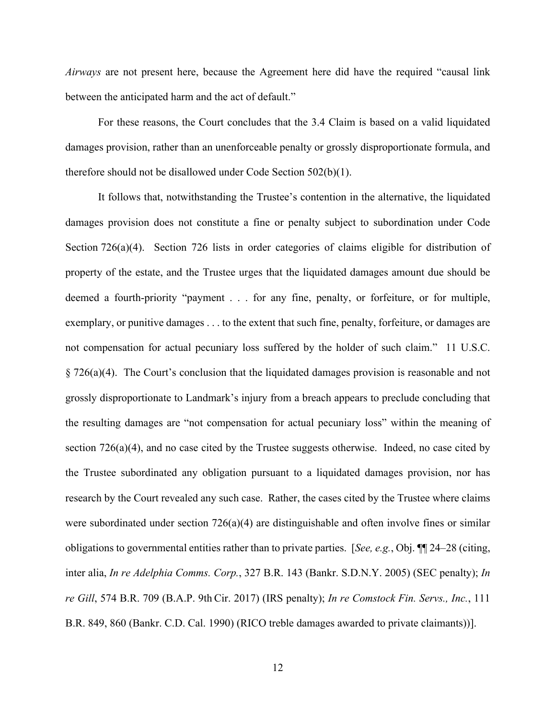*Airways* are not present here, because the Agreement here did have the required "causal link between the anticipated harm and the act of default."

For these reasons, the Court concludes that the 3.4 Claim is based on a valid liquidated damages provision, rather than an unenforceable penalty or grossly disproportionate formula, and therefore should not be disallowed under Code Section 502(b)(1).

It follows that, notwithstanding the Trustee's contention in the alternative, the liquidated damages provision does not constitute a fine or penalty subject to subordination under Code Section 726(a)(4). Section 726 lists in order categories of claims eligible for distribution of property of the estate, and the Trustee urges that the liquidated damages amount due should be deemed a fourth-priority "payment . . . for any fine, penalty, or forfeiture, or for multiple, exemplary, or punitive damages . . . to the extent that such fine, penalty, forfeiture, or damages are not compensation for actual pecuniary loss suffered by the holder of such claim." 11 U.S.C. § 726(a)(4). The Court's conclusion that the liquidated damages provision is reasonable and not grossly disproportionate to Landmark's injury from a breach appears to preclude concluding that the resulting damages are "not compensation for actual pecuniary loss" within the meaning of section 726(a)(4), and no case cited by the Trustee suggests otherwise. Indeed, no case cited by the Trustee subordinated any obligation pursuant to a liquidated damages provision, nor has research by the Court revealed any such case. Rather, the cases cited by the Trustee where claims were subordinated under section  $726(a)(4)$  are distinguishable and often involve fines or similar obligations to governmental entities rather than to private parties. [*See, e.g.*, Obj. ¶¶ 24–28 (citing, inter alia, *In re Adelphia Comms. Corp.*, 327 B.R. 143 (Bankr. S.D.N.Y. 2005) (SEC penalty); *In re Gill*, 574 B.R. 709 (B.A.P. 9th Cir. 2017) (IRS penalty); *In re Comstock Fin. Servs., Inc.*, 111 B.R. 849, 860 (Bankr. C.D. Cal. 1990) (RICO treble damages awarded to private claimants))].